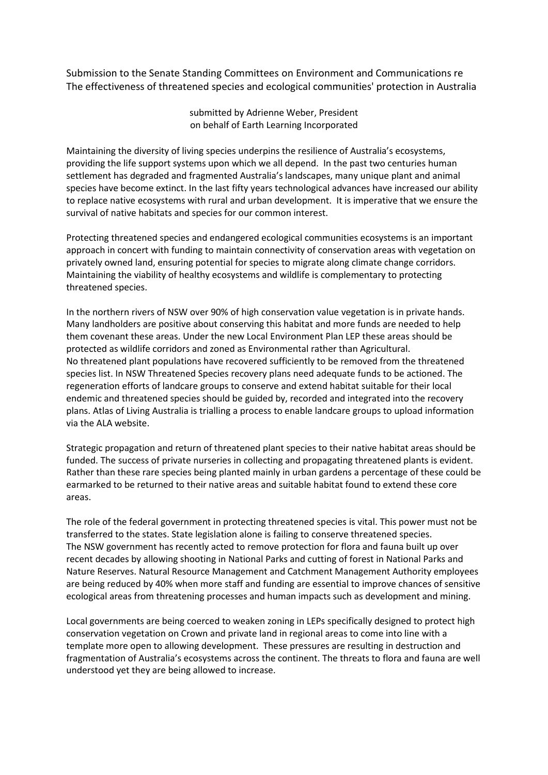Submission to the Senate Standing Committees on Environment and Communications re The effectiveness of threatened species and ecological communities' protection in Australia

> submitted by Adrienne Weber, President on behalf of Earth Learning Incorporated

Maintaining the diversity of living species underpins the resilience of Australia's ecosystems, providing the life support systems upon which we all depend. In the past two centuries human settlement has degraded and fragmented Australia's landscapes, many unique plant and animal species have become extinct. In the last fifty years technological advances have increased our ability to replace native ecosystems with rural and urban development. It is imperative that we ensure the survival of native habitats and species for our common interest.

Protecting threatened species and endangered ecological communities ecosystems is an important approach in concert with funding to maintain connectivity of conservation areas with vegetation on privately owned land, ensuring potential for species to migrate along climate change corridors. Maintaining the viability of healthy ecosystems and wildlife is complementary to protecting threatened species.

In the northern rivers of NSW over 90% of high conservation value vegetation is in private hands. Many landholders are positive about conserving this habitat and more funds are needed to help them covenant these areas. Under the new Local Environment Plan LEP these areas should be protected as wildlife corridors and zoned as Environmental rather than Agricultural. No threatened plant populations have recovered sufficiently to be removed from the threatened species list. In NSW Threatened Species recovery plans need adequate funds to be actioned. The regeneration efforts of landcare groups to conserve and extend habitat suitable for their local endemic and threatened species should be guided by, recorded and integrated into the recovery plans. Atlas of Living Australia is trialling a process to enable landcare groups to upload information via the ALA website.

Strategic propagation and return of threatened plant species to their native habitat areas should be funded. The success of private nurseries in collecting and propagating threatened plants is evident. Rather than these rare species being planted mainly in urban gardens a percentage of these could be earmarked to be returned to their native areas and suitable habitat found to extend these core areas.

The role of the federal government in protecting threatened species is vital. This power must not be transferred to the states. State legislation alone is failing to conserve threatened species. The NSW government has recently acted to remove protection for flora and fauna built up over recent decades by allowing shooting in National Parks and cutting of forest in National Parks and Nature Reserves. Natural Resource Management and Catchment Management Authority employees are being reduced by 40% when more staff and funding are essential to improve chances of sensitive ecological areas from threatening processes and human impacts such as development and mining.

Local governments are being coerced to weaken zoning in LEPs specifically designed to protect high conservation vegetation on Crown and private land in regional areas to come into line with a template more open to allowing development. These pressures are resulting in destruction and fragmentation of Australia's ecosystems across the continent. The threats to flora and fauna are well understood yet they are being allowed to increase.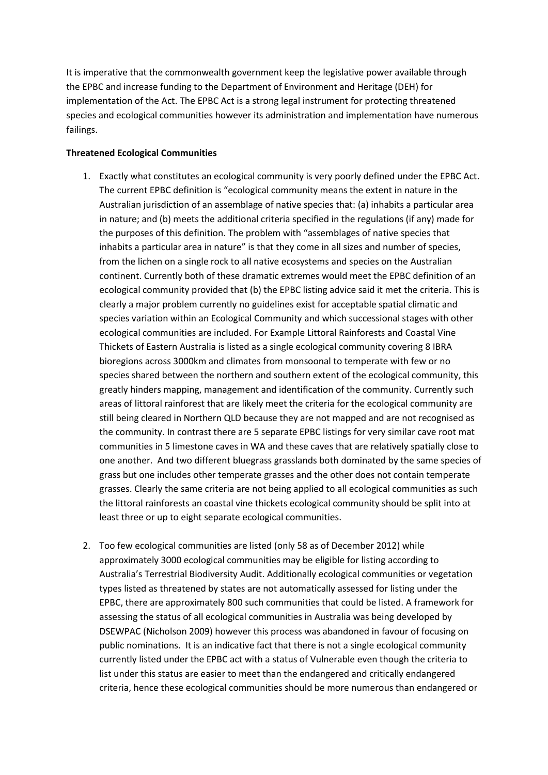It is imperative that the commonwealth government keep the legislative power available through the EPBC and increase funding to the Department of Environment and Heritage (DEH) for implementation of the Act. The EPBC Act is a strong legal instrument for protecting threatened species and ecological communities however its administration and implementation have numerous failings.

# **Threatened Ecological Communities**

- 1. Exactly what constitutes an ecological community is very poorly defined under the EPBC Act. The current EPBC definition is "ecological community means the extent in nature in the Australian jurisdiction of an assemblage of native species that: (a) inhabits a particular area in nature; and (b) meets the additional criteria specified in the regulations (if any) made for the purposes of this definition. The problem with "assemblages of native species that inhabits a particular area in nature" is that they come in all sizes and number of species, from the lichen on a single rock to all native ecosystems and species on the Australian continent. Currently both of these dramatic extremes would meet the EPBC definition of an ecological community provided that (b) the EPBC listing advice said it met the criteria. This is clearly a major problem currently no guidelines exist for acceptable spatial climatic and species variation within an Ecological Community and which successional stages with other ecological communities are included. For Example Littoral Rainforests and Coastal Vine Thickets of Eastern Australia is listed as a single ecological community covering 8 IBRA bioregions across 3000km and climates from monsoonal to temperate with few or no species shared between the northern and southern extent of the ecological community, this greatly hinders mapping, management and identification of the community. Currently such areas of littoral rainforest that are likely meet the criteria for the ecological community are still being cleared in Northern QLD because they are not mapped and are not recognised as the community. In contrast there are 5 separate EPBC listings for very similar cave root mat communities in 5 limestone caves in WA and these caves that are relatively spatially close to one another. And two different bluegrass grasslands both dominated by the same species of grass but one includes other temperate grasses and the other does not contain temperate grasses. Clearly the same criteria are not being applied to all ecological communities as such the littoral rainforests an coastal vine thickets ecological community should be split into at least three or up to eight separate ecological communities.
- 2. Too few ecological communities are listed (only 58 as of December 2012) while approximately 3000 ecological communities may be eligible for listing according to Australia's Terrestrial Biodiversity Audit. Additionally ecological communities or vegetation types listed as threatened by states are not automatically assessed for listing under the EPBC, there are approximately 800 such communities that could be listed. A framework for assessing the status of all ecological communities in Australia was being developed by DSEWPAC (Nicholson 2009) however this process was abandoned in favour of focusing on public nominations. It is an indicative fact that there is not a single ecological community currently listed under the EPBC act with a status of Vulnerable even though the criteria to list under this status are easier to meet than the endangered and critically endangered criteria, hence these ecological communities should be more numerous than endangered or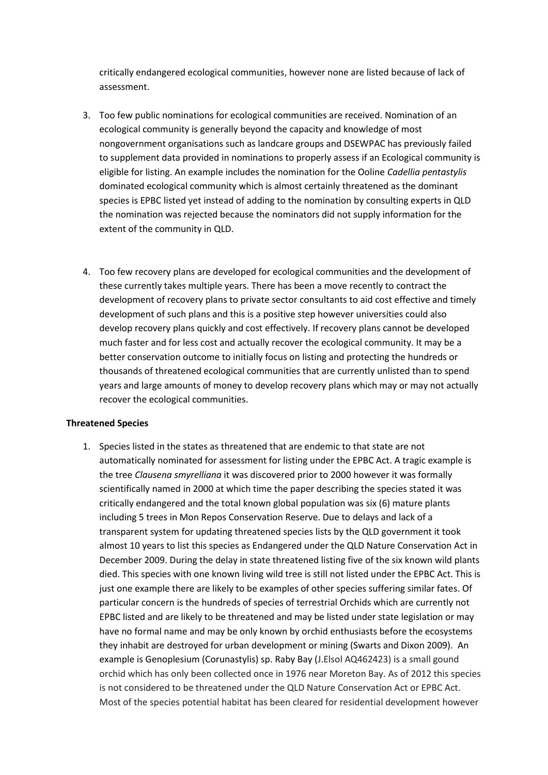critically endangered ecological communities, however none are listed because of lack of assessment.

- 3. Too few public nominations for ecological communities are received. Nomination of an ecological community is generally beyond the capacity and knowledge of most nongovernment organisations such as landcare groups and DSEWPAC has previously failed to supplement data provided in nominations to properly assess if an Ecological community is eligible for listing. An example includes the nomination for the Ooline *Cadellia pentastylis* dominated ecological community which is almost certainly threatened as the dominant species is EPBC listed yet instead of adding to the nomination by consulting experts in QLD the nomination was rejected because the nominators did not supply information for the extent of the community in QLD.
- 4. Too few recovery plans are developed for ecological communities and the development of these currently takes multiple years. There has been a move recently to contract the development of recovery plans to private sector consultants to aid cost effective and timely development of such plans and this is a positive step however universities could also develop recovery plans quickly and cost effectively. If recovery plans cannot be developed much faster and for less cost and actually recover the ecological community. It may be a better conservation outcome to initially focus on listing and protecting the hundreds or thousands of threatened ecological communities that are currently unlisted than to spend years and large amounts of money to develop recovery plans which may or may not actually recover the ecological communities.

## **Threatened Species**

1. Species listed in the states as threatened that are endemic to that state are not automatically nominated for assessment for listing under the EPBC Act. A tragic example is the tree *Clausena smyrelliana* it was discovered prior to 2000 however it was formally scientifically named in 2000 at which time the paper describing the species stated it was critically endangered and the total known global population was six (6) mature plants including 5 trees in Mon Repos Conservation Reserve. Due to delays and lack of a transparent system for updating threatened species lists by the QLD government it took almost 10 years to list this species as Endangered under the QLD Nature Conservation Act in December 2009. During the delay in state threatened listing five of the six known wild plants died. This species with one known living wild tree is still not listed under the EPBC Act. This is just one example there are likely to be examples of other species suffering similar fates. Of particular concern is the hundreds of species of terrestrial Orchids which are currently not EPBC listed and are likely to be threatened and may be listed under state legislation or may have no formal name and may be only known by orchid enthusiasts before the ecosystems they inhabit are destroyed for urban development or mining (Swarts and Dixon 2009). An example is Genoplesium (Corunastylis) sp. Raby Bay (J.Elsol AQ462423) is a small gound orchid which has only been collected once in 1976 near Moreton Bay. As of 2012 this species is not considered to be threatened under the QLD Nature Conservation Act or EPBC Act. Most of the species potential habitat has been cleared for residential development however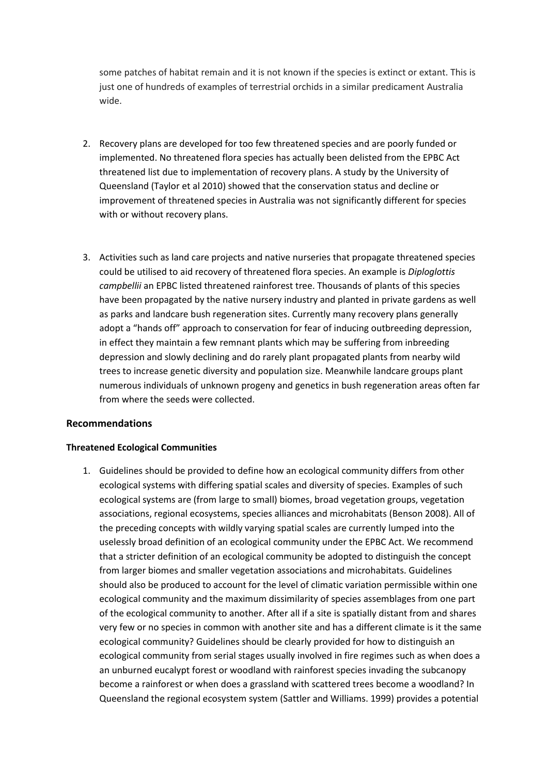some patches of habitat remain and it is not known if the species is extinct or extant. This is just one of hundreds of examples of terrestrial orchids in a similar predicament Australia wide.

- 2. Recovery plans are developed for too few threatened species and are poorly funded or implemented. No threatened flora species has actually been delisted from the EPBC Act threatened list due to implementation of recovery plans. A study by the University of Queensland (Taylor et al 2010) showed that the conservation status and decline or improvement of threatened species in Australia was not significantly different for species with or without recovery plans.
- 3. Activities such as land care projects and native nurseries that propagate threatened species could be utilised to aid recovery of threatened flora species. An example is *Diploglottis campbellii* an EPBC listed threatened rainforest tree. Thousands of plants of this species have been propagated by the native nursery industry and planted in private gardens as well as parks and landcare bush regeneration sites. Currently many recovery plans generally adopt a "hands off" approach to conservation for fear of inducing outbreeding depression, in effect they maintain a few remnant plants which may be suffering from inbreeding depression and slowly declining and do rarely plant propagated plants from nearby wild trees to increase genetic diversity and population size. Meanwhile landcare groups plant numerous individuals of unknown progeny and genetics in bush regeneration areas often far from where the seeds were collected.

## **Recommendations**

## **Threatened Ecological Communities**

1. Guidelines should be provided to define how an ecological community differs from other ecological systems with differing spatial scales and diversity of species. Examples of such ecological systems are (from large to small) biomes, broad vegetation groups, vegetation associations, regional ecosystems, species alliances and microhabitats (Benson 2008). All of the preceding concepts with wildly varying spatial scales are currently lumped into the uselessly broad definition of an ecological community under the EPBC Act. We recommend that a stricter definition of an ecological community be adopted to distinguish the concept from larger biomes and smaller vegetation associations and microhabitats. Guidelines should also be produced to account for the level of climatic variation permissible within one ecological community and the maximum dissimilarity of species assemblages from one part of the ecological community to another. After all if a site is spatially distant from and shares very few or no species in common with another site and has a different climate is it the same ecological community? Guidelines should be clearly provided for how to distinguish an ecological community from serial stages usually involved in fire regimes such as when does a an unburned eucalypt forest or woodland with rainforest species invading the subcanopy become a rainforest or when does a grassland with scattered trees become a woodland? In Queensland the regional ecosystem system (Sattler and Williams. 1999) provides a potential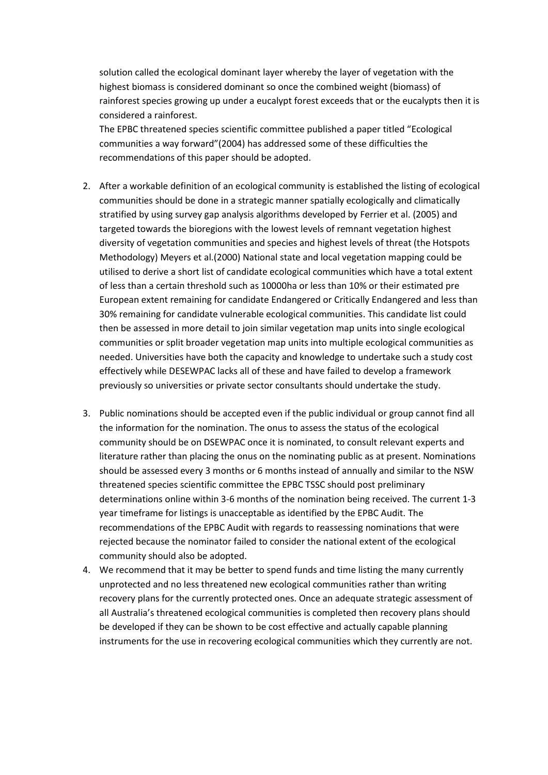solution called the ecological dominant layer whereby the layer of vegetation with the highest biomass is considered dominant so once the combined weight (biomass) of rainforest species growing up under a eucalypt forest exceeds that or the eucalypts then it is considered a rainforest.

The EPBC threatened species scientific committee published a paper titled "Ecological communities a way forward"(2004) has addressed some of these difficulties the recommendations of this paper should be adopted.

- 2. After a workable definition of an ecological community is established the listing of ecological communities should be done in a strategic manner spatially ecologically and climatically stratified by using survey gap analysis algorithms developed by Ferrier et al. (2005) and targeted towards the bioregions with the lowest levels of remnant vegetation highest diversity of vegetation communities and species and highest levels of threat (the Hotspots Methodology) Meyers et al.(2000) National state and local vegetation mapping could be utilised to derive a short list of candidate ecological communities which have a total extent of less than a certain threshold such as 10000ha or less than 10% or their estimated pre European extent remaining for candidate Endangered or Critically Endangered and less than 30% remaining for candidate vulnerable ecological communities. This candidate list could then be assessed in more detail to join similar vegetation map units into single ecological communities or split broader vegetation map units into multiple ecological communities as needed. Universities have both the capacity and knowledge to undertake such a study cost effectively while DESEWPAC lacks all of these and have failed to develop a framework previously so universities or private sector consultants should undertake the study.
- 3. Public nominations should be accepted even if the public individual or group cannot find all the information for the nomination. The onus to assess the status of the ecological community should be on DSEWPAC once it is nominated, to consult relevant experts and literature rather than placing the onus on the nominating public as at present. Nominations should be assessed every 3 months or 6 months instead of annually and similar to the NSW threatened species scientific committee the EPBC TSSC should post preliminary determinations online within 3-6 months of the nomination being received. The current 1-3 year timeframe for listings is unacceptable as identified by the EPBC Audit. The recommendations of the EPBC Audit with regards to reassessing nominations that were rejected because the nominator failed to consider the national extent of the ecological community should also be adopted.
- 4. We recommend that it may be better to spend funds and time listing the many currently unprotected and no less threatened new ecological communities rather than writing recovery plans for the currently protected ones. Once an adequate strategic assessment of all Australia's threatened ecological communities is completed then recovery plans should be developed if they can be shown to be cost effective and actually capable planning instruments for the use in recovering ecological communities which they currently are not.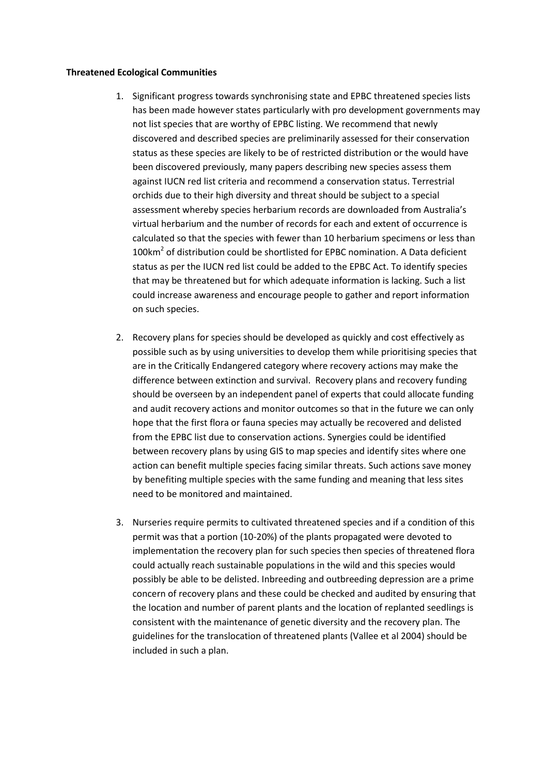#### **Threatened Ecological Communities**

- 1. Significant progress towards synchronising state and EPBC threatened species lists has been made however states particularly with pro development governments may not list species that are worthy of EPBC listing. We recommend that newly discovered and described species are preliminarily assessed for their conservation status as these species are likely to be of restricted distribution or the would have been discovered previously, many papers describing new species assess them against IUCN red list criteria and recommend a conservation status. Terrestrial orchids due to their high diversity and threat should be subject to a special assessment whereby species herbarium records are downloaded from Australia's virtual herbarium and the number of records for each and extent of occurrence is calculated so that the species with fewer than 10 herbarium specimens or less than 100km<sup>2</sup> of distribution could be shortlisted for EPBC nomination. A Data deficient status as per the IUCN red list could be added to the EPBC Act. To identify species that may be threatened but for which adequate information is lacking. Such a list could increase awareness and encourage people to gather and report information on such species.
- 2. Recovery plans for species should be developed as quickly and cost effectively as possible such as by using universities to develop them while prioritising species that are in the Critically Endangered category where recovery actions may make the difference between extinction and survival. Recovery plans and recovery funding should be overseen by an independent panel of experts that could allocate funding and audit recovery actions and monitor outcomes so that in the future we can only hope that the first flora or fauna species may actually be recovered and delisted from the EPBC list due to conservation actions. Synergies could be identified between recovery plans by using GIS to map species and identify sites where one action can benefit multiple species facing similar threats. Such actions save money by benefiting multiple species with the same funding and meaning that less sites need to be monitored and maintained.
- 3. Nurseries require permits to cultivated threatened species and if a condition of this permit was that a portion (10-20%) of the plants propagated were devoted to implementation the recovery plan for such species then species of threatened flora could actually reach sustainable populations in the wild and this species would possibly be able to be delisted. Inbreeding and outbreeding depression are a prime concern of recovery plans and these could be checked and audited by ensuring that the location and number of parent plants and the location of replanted seedlings is consistent with the maintenance of genetic diversity and the recovery plan. The guidelines for the translocation of threatened plants (Vallee et al 2004) should be included in such a plan.